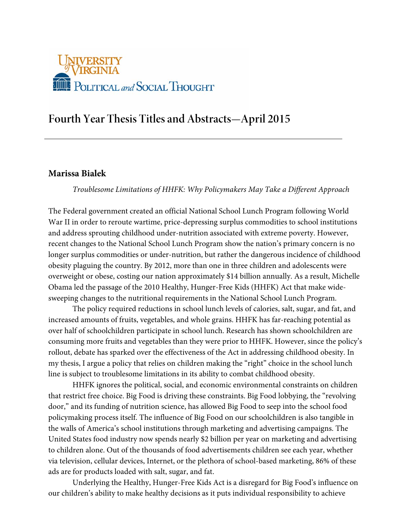

# **Fourth Year Thesis Titles and Abstracts—April 2015**

# **Marissa Bialek**

*Troublesome Limitations of HHFK: Why Policymakers May Take a Different Approach*

The Federal government created an official National School Lunch Program following World War II in order to reroute wartime, price-depressing surplus commodities to school institutions and address sprouting childhood under-nutrition associated with extreme poverty. However, recent changes to the National School Lunch Program show the nation's primary concern is no longer surplus commodities or under-nutrition, but rather the dangerous incidence of childhood obesity plaguing the country. By 2012, more than one in three children and adolescents were overweight or obese, costing our nation approximately \$14 billion annually. As a result, Michelle Obama led the passage of the 2010 Healthy, Hunger-Free Kids (HHFK) Act that make widesweeping changes to the nutritional requirements in the National School Lunch Program.

The policy required reductions in school lunch levels of calories, salt, sugar, and fat, and increased amounts of fruits, vegetables, and whole grains. HHFK has far-reaching potential as over half of schoolchildren participate in school lunch. Research has shown schoolchildren are consuming more fruits and vegetables than they were prior to HHFK. However, since the policy's rollout, debate has sparked over the effectiveness of the Act in addressing childhood obesity. In my thesis, I argue a policy that relies on children making the "right" choice in the school lunch line is subject to troublesome limitations in its ability to combat childhood obesity.

HHFK ignores the political, social, and economic environmental constraints on children that restrict free choice. Big Food is driving these constraints. Big Food lobbying, the "revolving door," and its funding of nutrition science, has allowed Big Food to seep into the school food policymaking process itself. The influence of Big Food on our schoolchildren is also tangible in the walls of America's school institutions through marketing and advertising campaigns. The United States food industry now spends nearly \$2 billion per year on marketing and advertising to children alone. Out of the thousands of food advertisements children see each year, whether via television, cellular devices, Internet, or the plethora of school-based marketing, 86% of these ads are for products loaded with salt, sugar, and fat.

Underlying the Healthy, Hunger-Free Kids Act is a disregard for Big Food's influence on our children's ability to make healthy decisions as it puts individual responsibility to achieve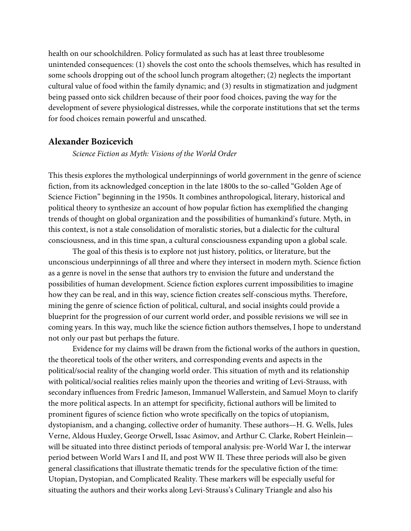health on our schoolchildren. Policy formulated as such has at least three troublesome unintended consequences: (1) shovels the cost onto the schools themselves, which has resulted in some schools dropping out of the school lunch program altogether; (2) neglects the important cultural value of food within the family dynamic; and (3) results in stigmatization and judgment being passed onto sick children because of their poor food choices, paving the way for the development of severe physiological distresses, while the corporate institutions that set the terms for food choices remain powerful and unscathed.

#### **Alexander Bozicevich**

*Science Fiction as Myth: Visions of the World Order*

This thesis explores the mythological underpinnings of world government in the genre of science fiction, from its acknowledged conception in the late 1800s to the so-called "Golden Age of Science Fiction" beginning in the 1950s. It combines anthropological, literary, historical and political theory to synthesize an account of how popular fiction has exemplified the changing trends of thought on global organization and the possibilities of humankind's future. Myth, in this context, is not a stale consolidation of moralistic stories, but a dialectic for the cultural consciousness, and in this time span, a cultural consciousness expanding upon a global scale.

The goal of this thesis is to explore not just history, politics, or literature, but the unconscious underpinnings of all three and where they intersect in modern myth. Science fiction as a genre is novel in the sense that authors try to envision the future and understand the possibilities of human development. Science fiction explores current impossibilities to imagine how they can be real, and in this way, science fiction creates self-conscious myths. Therefore, mining the genre of science fiction of political, cultural, and social insights could provide a blueprint for the progression of our current world order, and possible revisions we will see in coming years. In this way, much like the science fiction authors themselves, I hope to understand not only our past but perhaps the future.

Evidence for my claims will be drawn from the fictional works of the authors in question, the theoretical tools of the other writers, and corresponding events and aspects in the political/social reality of the changing world order. This situation of myth and its relationship with political/social realities relies mainly upon the theories and writing of Levi-Strauss, with secondary influences from Fredric Jameson, Immanuel Wallerstein, and Samuel Moyn to clarify the more political aspects. In an attempt for specificity, fictional authors will be limited to prominent figures of science fiction who wrote specifically on the topics of utopianism, dystopianism, and a changing, collective order of humanity. These authors—H. G. Wells, Jules Verne, Aldous Huxley, George Orwell, Issac Asimov, and Arthur C. Clarke, Robert Heinlein will be situated into three distinct periods of temporal analysis: pre-World War I, the interwar period between World Wars I and II, and post WW II. These three periods will also be given general classifications that illustrate thematic trends for the speculative fiction of the time: Utopian, Dystopian, and Complicated Reality. These markers will be especially useful for situating the authors and their works along Levi-Strauss's Culinary Triangle and also his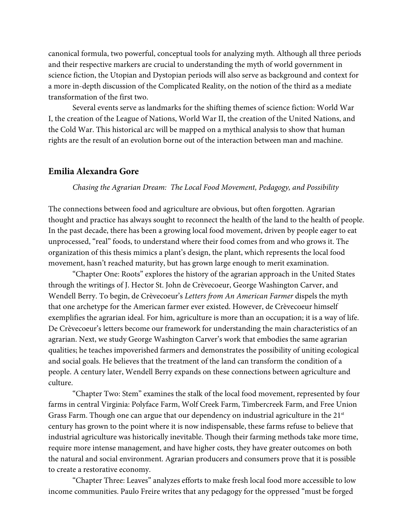canonical formula, two powerful, conceptual tools for analyzing myth. Although all three periods and their respective markers are crucial to understanding the myth of world government in science fiction, the Utopian and Dystopian periods will also serve as background and context for a more in-depth discussion of the Complicated Reality, on the notion of the third as a mediate transformation of the first two.

Several events serve as landmarks for the shifting themes of science fiction: World War I, the creation of the League of Nations, World War II, the creation of the United Nations, and the Cold War. This historical arc will be mapped on a mythical analysis to show that human rights are the result of an evolution borne out of the interaction between man and machine.

#### **Emilia Alexandra Gore**

*Chasing the Agrarian Dream: The Local Food Movement, Pedagogy, and Possibility*

The connections between food and agriculture are obvious, but often forgotten. Agrarian thought and practice has always sought to reconnect the health of the land to the health of people. In the past decade, there has been a growing local food movement, driven by people eager to eat unprocessed, "real" foods, to understand where their food comes from and who grows it. The organization of this thesis mimics a plant's design, the plant, which represents the local food movement, hasn't reached maturity, but has grown large enough to merit examination.

"Chapter One: Roots" explores the history of the agrarian approach in the United States through the writings of J. Hector St. John de Crèvecoeur, George Washington Carver, and Wendell Berry. To begin, de Crèvecoeur's *Letters from An American Farmer* dispels the myth that one archetype for the American farmer ever existed. However, de Crèvecoeur himself exemplifies the agrarian ideal. For him, agriculture is more than an occupation; it is a way of life. De Crèvecoeur's letters become our framework for understanding the main characteristics of an agrarian. Next, we study George Washington Carver's work that embodies the same agrarian qualities; he teaches impoverished farmers and demonstrates the possibility of uniting ecological and social goals. He believes that the treatment of the land can transform the condition of a people. A century later, Wendell Berry expands on these connections between agriculture and culture.

"Chapter Two: Stem" examines the stalk of the local food movement, represented by four farms in central Virginia: Polyface Farm, Wolf Creek Farm, Timbercreek Farm, and Free Union Grass Farm. Though one can argue that our dependency on industrial agriculture in the  $21<sup>st</sup>$ century has grown to the point where it is now indispensable, these farms refuse to believe that industrial agriculture was historically inevitable. Though their farming methods take more time, require more intense management, and have higher costs, they have greater outcomes on both the natural and social environment. Agrarian producers and consumers prove that it is possible to create a restorative economy.

"Chapter Three: Leaves" analyzes efforts to make fresh local food more accessible to low income communities. Paulo Freire writes that any pedagogy for the oppressed "must be forged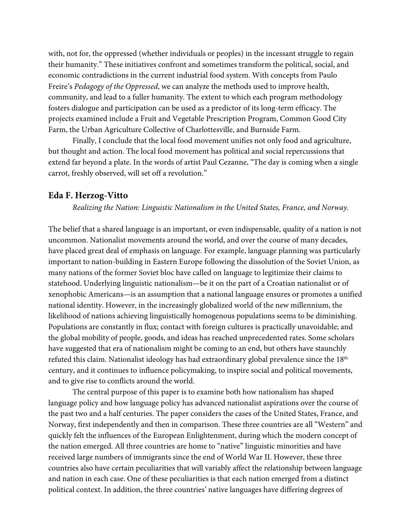with, not for, the oppressed (whether individuals or peoples) in the incessant struggle to regain their humanity." These initiatives confront and sometimes transform the political, social, and economic contradictions in the current industrial food system. With concepts from Paulo Freire's *Pedagogy of the Oppressed*, we can analyze the methods used to improve health, community, and lead to a fuller humanity. The extent to which each program methodology fosters dialogue and participation can be used as a predictor of its long-term efficacy. The projects examined include a Fruit and Vegetable Prescription Program, Common Good City Farm, the Urban Agriculture Collective of Charlottesville, and Burnside Farm.

Finally, I conclude that the local food movement unifies not only food and agriculture, but thought and action. The local food movement has political and social repercussions that extend far beyond a plate. In the words of artist Paul Cezanne, "The day is coming when a single carrot, freshly observed, will set off a revolution."

#### **Eda F. Herzog-Vitto**

*Realizing the Nation: Linguistic Nationalism in the United States, France, and Norway.*

The belief that a shared language is an important, or even indispensable, quality of a nation is not uncommon. Nationalist movements around the world, and over the course of many decades, have placed great deal of emphasis on language. For example, language planning was particularly important to nation-building in Eastern Europe following the dissolution of the Soviet Union, as many nations of the former Soviet bloc have called on language to legitimize their claims to statehood. Underlying linguistic nationalism—be it on the part of a Croatian nationalist or of xenophobic Americans—is an assumption that a national language ensures or promotes a unified national identity. However, in the increasingly globalized world of the new millennium, the likelihood of nations achieving linguistically homogenous populations seems to be diminishing. Populations are constantly in flux; contact with foreign cultures is practically unavoidable; and the global mobility of people, goods, and ideas has reached unprecedented rates. Some scholars have suggested that era of nationalism might be coming to an end, but others have staunchly refuted this claim. Nationalist ideology has had extraordinary global prevalence since the 18<sup>th</sup> century, and it continues to influence policymaking, to inspire social and political movements, and to give rise to conflicts around the world.

The central purpose of this paper is to examine both how nationalism has shaped language policy and how language policy has advanced nationalist aspirations over the course of the past two and a half centuries. The paper considers the cases of the United States, France, and Norway, first independently and then in comparison. These three countries are all "Western" and quickly felt the influences of the European Enlightenment, during which the modern concept of the nation emerged. All three countries are home to "native" linguistic minorities and have received large numbers of immigrants since the end of World War II. However, these three countries also have certain peculiarities that will variably affect the relationship between language and nation in each case. One of these peculiarities is that each nation emerged from a distinct political context. In addition, the three countries' native languages have differing degrees of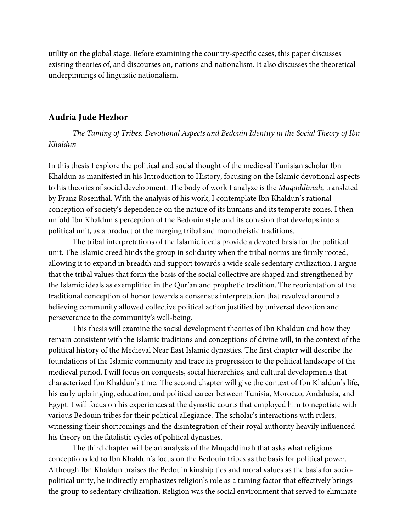utility on the global stage. Before examining the country-specific cases, this paper discusses existing theories of, and discourses on, nations and nationalism. It also discusses the theoretical underpinnings of linguistic nationalism.

#### **Audria Jude Hezbor**

*The Taming of Tribes: Devotional Aspects and Bedouin Identity in the Social Theory of Ibn Khaldun*

In this thesis I explore the political and social thought of the medieval Tunisian scholar Ibn Khaldun as manifested in his Introduction to History, focusing on the Islamic devotional aspects to his theories of social development. The body of work I analyze is the *Muqaddimah*, translated by Franz Rosenthal. With the analysis of his work, I contemplate Ibn Khaldun's rational conception of society's dependence on the nature of its humans and its temperate zones. I then unfold Ibn Khaldun's perception of the Bedouin style and its cohesion that develops into a political unit, as a product of the merging tribal and monotheistic traditions.

The tribal interpretations of the Islamic ideals provide a devoted basis for the political unit. The Islamic creed binds the group in solidarity when the tribal norms are firmly rooted, allowing it to expand in breadth and support towards a wide scale sedentary civilization. I argue that the tribal values that form the basis of the social collective are shaped and strengthened by the Islamic ideals as exemplified in the Qur'an and prophetic tradition. The reorientation of the traditional conception of honor towards a consensus interpretation that revolved around a believing community allowed collective political action justified by universal devotion and perseverance to the community's well-being.

This thesis will examine the social development theories of Ibn Khaldun and how they remain consistent with the Islamic traditions and conceptions of divine will, in the context of the political history of the Medieval Near East Islamic dynasties. The first chapter will describe the foundations of the Islamic community and trace its progression to the political landscape of the medieval period. I will focus on conquests, social hierarchies, and cultural developments that characterized Ibn Khaldun's time. The second chapter will give the context of Ibn Khaldun's life, his early upbringing, education, and political career between Tunisia, Morocco, Andalusia, and Egypt. I will focus on his experiences at the dynastic courts that employed him to negotiate with various Bedouin tribes for their political allegiance. The scholar's interactions with rulers, witnessing their shortcomings and the disintegration of their royal authority heavily influenced his theory on the fatalistic cycles of political dynasties.

The third chapter will be an analysis of the Muqaddimah that asks what religious conceptions led to Ibn Khaldun's focus on the Bedouin tribes as the basis for political power. Although Ibn Khaldun praises the Bedouin kinship ties and moral values as the basis for sociopolitical unity, he indirectly emphasizes religion's role as a taming factor that effectively brings the group to sedentary civilization. Religion was the social environment that served to eliminate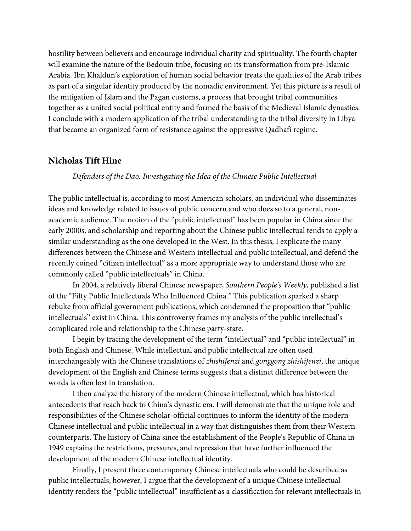hostility between believers and encourage individual charity and spirituality. The fourth chapter will examine the nature of the Bedouin tribe, focusing on its transformation from pre-Islamic Arabia. Ibn Khaldun's exploration of human social behavior treats the qualities of the Arab tribes as part of a singular identity produced by the nomadic environment. Yet this picture is a result of the mitigation of Islam and the Pagan customs, a process that brought tribal communities together as a united social political entity and formed the basis of the Medieval Islamic dynasties. I conclude with a modern application of the tribal understanding to the tribal diversity in Libya that became an organized form of resistance against the oppressive Qadhafi regime.

#### **Nicholas Tift Hine**

*Defenders of the Dao: Investigating the Idea of the Chinese Public Intellectual*

The public intellectual is, according to most American scholars, an individual who disseminates ideas and knowledge related to issues of public concern and who does so to a general, nonacademic audience. The notion of the "public intellectual" has been popular in China since the early 2000s, and scholarship and reporting about the Chinese public intellectual tends to apply a similar understanding as the one developed in the West. In this thesis, I explicate the many differences between the Chinese and Western intellectual and public intellectual, and defend the recently coined "citizen intellectual" as a more appropriate way to understand those who are commonly called "public intellectuals" in China.

In 2004, a relatively liberal Chinese newspaper, *Southern People's Weekly*, published a list of the "Fifty Public Intellectuals Who Influenced China." This publication sparked a sharp rebuke from official government publications, which condemned the proposition that "public intellectuals" exist in China. This controversy frames my analysis of the public intellectual's complicated role and relationship to the Chinese party-state.

I begin by tracing the development of the term "intellectual" and "public intellectual" in both English and Chinese. While intellectual and public intellectual are often used interchangeably with the Chinese translations of *zhishifenzi* and *gonggong zhishifenzi*, the unique development of the English and Chinese terms suggests that a distinct difference between the words is often lost in translation.

I then analyze the history of the modern Chinese intellectual, which has historical antecedents that reach back to China's dynastic era. I will demonstrate that the unique role and responsibilities of the Chinese scholar-official continues to inform the identity of the modern Chinese intellectual and public intellectual in a way that distinguishes them from their Western counterparts. The history of China since the establishment of the People's Republic of China in 1949 explains the restrictions, pressures, and repression that have further influenced the development of the modern Chinese intellectual identity.

Finally, I present three contemporary Chinese intellectuals who could be described as public intellectuals; however, I argue that the development of a unique Chinese intellectual identity renders the "public intellectual" insufficient as a classification for relevant intellectuals in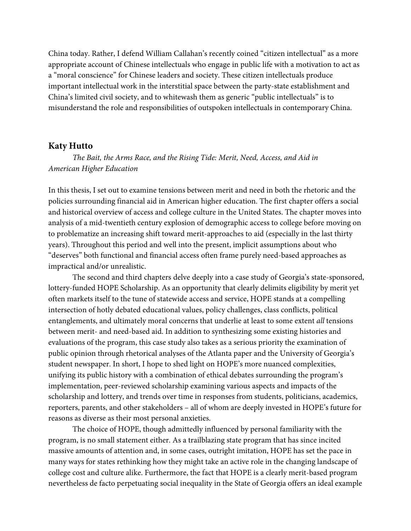China today. Rather, I defend William Callahan's recently coined "citizen intellectual" as a more appropriate account of Chinese intellectuals who engage in public life with a motivation to act as a "moral conscience" for Chinese leaders and society. These citizen intellectuals produce important intellectual work in the interstitial space between the party-state establishment and China's limited civil society, and to whitewash them as generic "public intellectuals" is to misunderstand the role and responsibilities of outspoken intellectuals in contemporary China.

#### **Katy Hutto**

*The Bait, the Arms Race, and the Rising Tide: Merit, Need, Access, and Aid in American Higher Education*

In this thesis, I set out to examine tensions between merit and need in both the rhetoric and the policies surrounding financial aid in American higher education. The first chapter offers a social and historical overview of access and college culture in the United States. The chapter moves into analysis of a mid-twentieth century explosion of demographic access to college before moving on to problematize an increasing shift toward merit-approaches to aid (especially in the last thirty years). Throughout this period and well into the present, implicit assumptions about who "deserves" both functional and financial access often frame purely need-based approaches as impractical and/or unrealistic.

The second and third chapters delve deeply into a case study of Georgia's state-sponsored, lottery-funded HOPE Scholarship. As an opportunity that clearly delimits eligibility by merit yet often markets itself to the tune of statewide access and service, HOPE stands at a compelling intersection of hotly debated educational values, policy challenges, class conflicts, political entanglements, and ultimately moral concerns that underlie at least to some extent *all* tensions between merit- and need-based aid. In addition to synthesizing some existing histories and evaluations of the program, this case study also takes as a serious priority the examination of public opinion through rhetorical analyses of the Atlanta paper and the University of Georgia's student newspaper. In short, I hope to shed light on HOPE's more nuanced complexities, unifying its public history with a combination of ethical debates surrounding the program's implementation, peer-reviewed scholarship examining various aspects and impacts of the scholarship and lottery, and trends over time in responses from students, politicians, academics, reporters, parents, and other stakeholders – all of whom are deeply invested in HOPE's future for reasons as diverse as their most personal anxieties.

The choice of HOPE, though admittedly influenced by personal familiarity with the program, is no small statement either. As a trailblazing state program that has since incited massive amounts of attention and, in some cases, outright imitation, HOPE has set the pace in many ways for states rethinking how they might take an active role in the changing landscape of college cost and culture alike. Furthermore, the fact that HOPE is a clearly merit-based program nevertheless de facto perpetuating social inequality in the State of Georgia offers an ideal example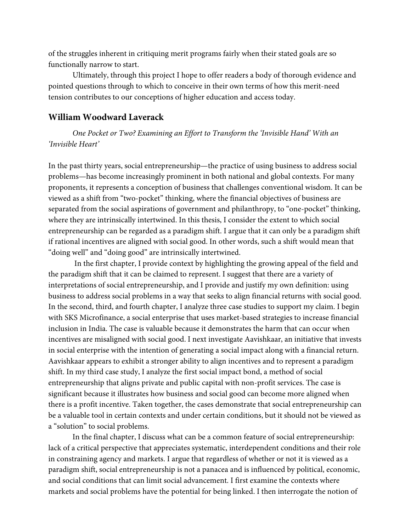of the struggles inherent in critiquing merit programs fairly when their stated goals are so functionally narrow to start.

Ultimately, through this project I hope to offer readers a body of thorough evidence and pointed questions through to which to conceive in their own terms of how this merit-need tension contributes to our conceptions of higher education and access today.

## **William Woodward Laverack**

*One Pocket or Two? Examining an Effort to Transform the 'Invisible Hand' With an 'Invisible Heart'* 

In the past thirty years, social entrepreneurship—the practice of using business to address social problems—has become increasingly prominent in both national and global contexts. For many proponents, it represents a conception of business that challenges conventional wisdom. It can be viewed as a shift from "two-pocket" thinking, where the financial objectives of business are separated from the social aspirations of government and philanthropy, to "one-pocket" thinking, where they are intrinsically intertwined. In this thesis, I consider the extent to which social entrepreneurship can be regarded as a paradigm shift. I argue that it can only be a paradigm shift if rational incentives are aligned with social good. In other words, such a shift would mean that "doing well" and "doing good" are intrinsically intertwined.

In the first chapter, I provide context by highlighting the growing appeal of the field and the paradigm shift that it can be claimed to represent. I suggest that there are a variety of interpretations of social entrepreneurship, and I provide and justify my own definition: using business to address social problems in a way that seeks to align financial returns with social good. In the second, third, and fourth chapter, I analyze three case studies to support my claim. I begin with SKS Microfinance, a social enterprise that uses market-based strategies to increase financial inclusion in India. The case is valuable because it demonstrates the harm that can occur when incentives are misaligned with social good. I next investigate Aavishkaar, an initiative that invests in social enterprise with the intention of generating a social impact along with a financial return. Aavishkaar appears to exhibit a stronger ability to align incentives and to represent a paradigm shift. In my third case study, I analyze the first social impact bond, a method of social entrepreneurship that aligns private and public capital with non-profit services. The case is significant because it illustrates how business and social good can become more aligned when there is a profit incentive. Taken together, the cases demonstrate that social entrepreneurship can be a valuable tool in certain contexts and under certain conditions, but it should not be viewed as a "solution" to social problems.

In the final chapter, I discuss what can be a common feature of social entrepreneurship: lack of a critical perspective that appreciates systematic, interdependent conditions and their role in constraining agency and markets. I argue that regardless of whether or not it is viewed as a paradigm shift, social entrepreneurship is not a panacea and is influenced by political, economic, and social conditions that can limit social advancement. I first examine the contexts where markets and social problems have the potential for being linked. I then interrogate the notion of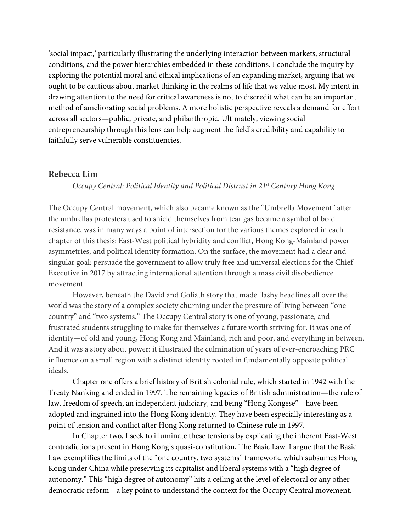'social impact,' particularly illustrating the underlying interaction between markets, structural conditions, and the power hierarchies embedded in these conditions. I conclude the inquiry by exploring the potential moral and ethical implications of an expanding market, arguing that we ought to be cautious about market thinking in the realms of life that we value most. My intent in drawing attention to the need for critical awareness is not to discredit what can be an important method of ameliorating social problems. A more holistic perspective reveals a demand for effort across all sectors—public, private, and philanthropic. Ultimately, viewing social entrepreneurship through this lens can help augment the field's credibility and capability to faithfully serve vulnerable constituencies.

#### **Rebecca Lim**

#### *Occupy Central: Political Identity and Political Distrust in 21st Century Hong Kong*

The Occupy Central movement, which also became known as the "Umbrella Movement" after the umbrellas protesters used to shield themselves from tear gas became a symbol of bold resistance, was in many ways a point of intersection for the various themes explored in each chapter of this thesis: East-West political hybridity and conflict, Hong Kong-Mainland power asymmetries, and political identity formation. On the surface, the movement had a clear and singular goal: persuade the government to allow truly free and universal elections for the Chief Executive in 2017 by attracting international attention through a mass civil disobedience movement.

However, beneath the David and Goliath story that made flashy headlines all over the world was the story of a complex society churning under the pressure of living between "one country" and "two systems." The Occupy Central story is one of young, passionate, and frustrated students struggling to make for themselves a future worth striving for. It was one of identity—of old and young, Hong Kong and Mainland, rich and poor, and everything in between. And it was a story about power: it illustrated the culmination of years of ever-encroaching PRC influence on a small region with a distinct identity rooted in fundamentally opposite political ideals.

Chapter one offers a brief history of British colonial rule, which started in 1942 with the Treaty Nanking and ended in 1997. The remaining legacies of British administration—the rule of law, freedom of speech, an independent judiciary, and being "Hong Kongese"—have been adopted and ingrained into the Hong Kong identity. They have been especially interesting as a point of tension and conflict after Hong Kong returned to Chinese rule in 1997.

In Chapter two, I seek to illuminate these tensions by explicating the inherent East-West contradictions present in Hong Kong's quasi-constitution, The Basic Law. I argue that the Basic Law exemplifies the limits of the "one country, two systems" framework, which subsumes Hong Kong under China while preserving its capitalist and liberal systems with a "high degree of autonomy." This "high degree of autonomy" hits a ceiling at the level of electoral or any other democratic reform—a key point to understand the context for the Occupy Central movement.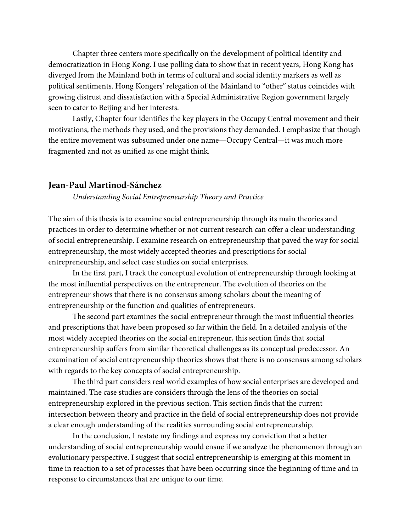Chapter three centers more specifically on the development of political identity and democratization in Hong Kong. I use polling data to show that in recent years, Hong Kong has diverged from the Mainland both in terms of cultural and social identity markers as well as political sentiments. Hong Kongers' relegation of the Mainland to "other" status coincides with growing distrust and dissatisfaction with a Special Administrative Region government largely seen to cater to Beijing and her interests.

Lastly, Chapter four identifies the key players in the Occupy Central movement and their motivations, the methods they used, and the provisions they demanded. I emphasize that though the entire movement was subsumed under one name—Occupy Central—it was much more fragmented and not as unified as one might think.

#### **Jean-Paul Martinod-Sánchez**

*Understanding Social Entrepreneurship Theory and Practice*

The aim of this thesis is to examine social entrepreneurship through its main theories and practices in order to determine whether or not current research can offer a clear understanding of social entrepreneurship. I examine research on entrepreneurship that paved the way for social entrepreneurship, the most widely accepted theories and prescriptions for social entrepreneurship, and select case studies on social enterprises.

In the first part, I track the conceptual evolution of entrepreneurship through looking at the most influential perspectives on the entrepreneur. The evolution of theories on the entrepreneur shows that there is no consensus among scholars about the meaning of entrepreneurship or the function and qualities of entrepreneurs.

The second part examines the social entrepreneur through the most influential theories and prescriptions that have been proposed so far within the field. In a detailed analysis of the most widely accepted theories on the social entrepreneur, this section finds that social entrepreneurship suffers from similar theoretical challenges as its conceptual predecessor. An examination of social entrepreneurship theories shows that there is no consensus among scholars with regards to the key concepts of social entrepreneurship.

The third part considers real world examples of how social enterprises are developed and maintained. The case studies are considers through the lens of the theories on social entrepreneurship explored in the previous section. This section finds that the current intersection between theory and practice in the field of social entrepreneurship does not provide a clear enough understanding of the realities surrounding social entrepreneurship.

In the conclusion, I restate my findings and express my conviction that a better understanding of social entrepreneurship would ensue if we analyze the phenomenon through an evolutionary perspective. I suggest that social entrepreneurship is emerging at this moment in time in reaction to a set of processes that have been occurring since the beginning of time and in response to circumstances that are unique to our time.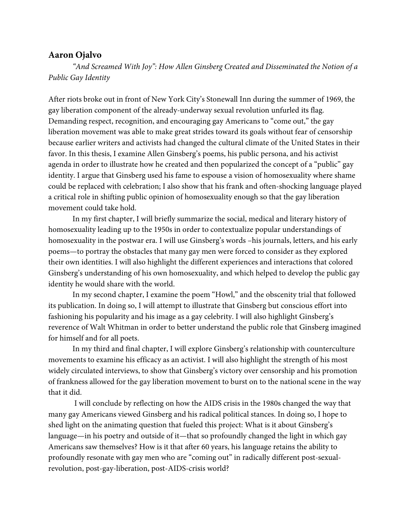# **Aaron Ojalvo**

*"And Screamed With Joy": How Allen Ginsberg Created and Disseminated the Notion of a Public Gay Identity*

After riots broke out in front of New York City's Stonewall Inn during the summer of 1969, the gay liberation component of the already-underway sexual revolution unfurled its flag. Demanding respect, recognition, and encouraging gay Americans to "come out," the gay liberation movement was able to make great strides toward its goals without fear of censorship because earlier writers and activists had changed the cultural climate of the United States in their favor. In this thesis, I examine Allen Ginsberg's poems, his public persona, and his activist agenda in order to illustrate how he created and then popularized the concept of a "public" gay identity. I argue that Ginsberg used his fame to espouse a vision of homosexuality where shame could be replaced with celebration; I also show that his frank and often-shocking language played a critical role in shifting public opinion of homosexuality enough so that the gay liberation movement could take hold.

In my first chapter, I will briefly summarize the social, medical and literary history of homosexuality leading up to the 1950s in order to contextualize popular understandings of homosexuality in the postwar era. I will use Ginsberg's words –his journals, letters, and his early poems—to portray the obstacles that many gay men were forced to consider as they explored their own identities. I will also highlight the different experiences and interactions that colored Ginsberg's understanding of his own homosexuality, and which helped to develop the public gay identity he would share with the world.

In my second chapter, I examine the poem "Howl," and the obscenity trial that followed its publication. In doing so, I will attempt to illustrate that Ginsberg but conscious effort into fashioning his popularity and his image as a gay celebrity. I will also highlight Ginsberg's reverence of Walt Whitman in order to better understand the public role that Ginsberg imagined for himself and for all poets.

In my third and final chapter, I will explore Ginsberg's relationship with counterculture movements to examine his efficacy as an activist. I will also highlight the strength of his most widely circulated interviews, to show that Ginsberg's victory over censorship and his promotion of frankness allowed for the gay liberation movement to burst on to the national scene in the way that it did.

I will conclude by reflecting on how the AIDS crisis in the 1980s changed the way that many gay Americans viewed Ginsberg and his radical political stances. In doing so, I hope to shed light on the animating question that fueled this project: What is it about Ginsberg's language—in his poetry and outside of it—that so profoundly changed the light in which gay Americans saw themselves? How is it that after 60 years, his language retains the ability to profoundly resonate with gay men who are "coming out" in radically different post-sexualrevolution, post-gay-liberation, post-AIDS-crisis world?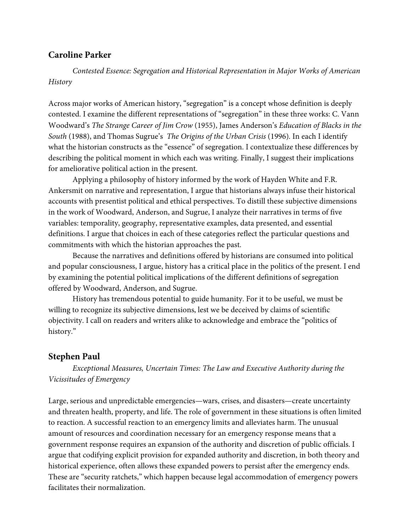# **Caroline Parker**

*Contested Essence: Segregation and Historical Representation in Major Works of American History*

Across major works of American history, "segregation" is a concept whose definition is deeply contested. I examine the different representations of "segregation" in these three works: C. Vann Woodward's *The Strange Career of Jim Crow* (1955), James Anderson's *Education of Blacks in the South* (1988), and Thomas Sugrue's *The Origins of the Urban Crisis* (1996)*.* In each I identify what the historian constructs as the "essence" of segregation. I contextualize these differences by describing the political moment in which each was writing. Finally, I suggest their implications for ameliorative political action in the present.

Applying a philosophy of history informed by the work of Hayden White and F.R. Ankersmit on narrative and representation, I argue that historians always infuse their historical accounts with presentist political and ethical perspectives. To distill these subjective dimensions in the work of Woodward, Anderson, and Sugrue, I analyze their narratives in terms of five variables: temporality, geography, representative examples, data presented, and essential definitions. I argue that choices in each of these categories reflect the particular questions and commitments with which the historian approaches the past.

Because the narratives and definitions offered by historians are consumed into political and popular consciousness, I argue, history has a critical place in the politics of the present. I end by examining the potential political implications of the different definitions of segregation offered by Woodward, Anderson, and Sugrue.

History has tremendous potential to guide humanity. For it to be useful, we must be willing to recognize its subjective dimensions, lest we be deceived by claims of scientific objectivity. I call on readers and writers alike to acknowledge and embrace the "politics of history."

## **Stephen Paul**

*Exceptional Measures, Uncertain Times: The Law and Executive Authority during the Vicissitudes of Emergency*

Large, serious and unpredictable emergencies—wars, crises, and disasters—create uncertainty and threaten health, property, and life. The role of government in these situations is often limited to reaction. A successful reaction to an emergency limits and alleviates harm. The unusual amount of resources and coordination necessary for an emergency response means that a government response requires an expansion of the authority and discretion of public officials. I argue that codifying explicit provision for expanded authority and discretion, in both theory and historical experience, often allows these expanded powers to persist after the emergency ends. These are "security ratchets," which happen because legal accommodation of emergency powers facilitates their normalization.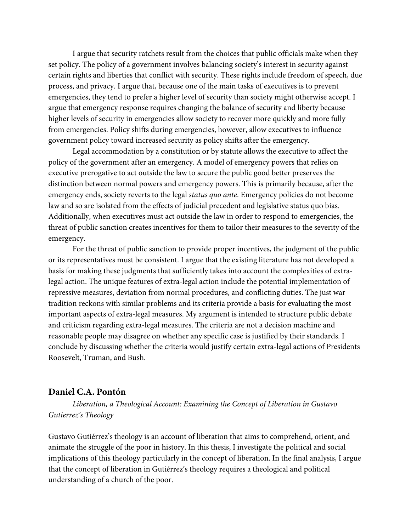I argue that security ratchets result from the choices that public officials make when they set policy. The policy of a government involves balancing society's interest in security against certain rights and liberties that conflict with security. These rights include freedom of speech, due process, and privacy. I argue that, because one of the main tasks of executives is to prevent emergencies, they tend to prefer a higher level of security than society might otherwise accept. I argue that emergency response requires changing the balance of security and liberty because higher levels of security in emergencies allow society to recover more quickly and more fully from emergencies. Policy shifts during emergencies, however, allow executives to influence government policy toward increased security as policy shifts after the emergency.

Legal accommodation by a constitution or by statute allows the executive to affect the policy of the government after an emergency. A model of emergency powers that relies on executive prerogative to act outside the law to secure the public good better preserves the distinction between normal powers and emergency powers. This is primarily because, after the emergency ends, society reverts to the legal *status quo ante*. Emergency policies do not become law and so are isolated from the effects of judicial precedent and legislative status quo bias. Additionally, when executives must act outside the law in order to respond to emergencies, the threat of public sanction creates incentives for them to tailor their measures to the severity of the emergency.

For the threat of public sanction to provide proper incentives, the judgment of the public or its representatives must be consistent. I argue that the existing literature has not developed a basis for making these judgments that sufficiently takes into account the complexities of extralegal action. The unique features of extra-legal action include the potential implementation of repressive measures, deviation from normal procedures, and conflicting duties. The just war tradition reckons with similar problems and its criteria provide a basis for evaluating the most important aspects of extra-legal measures. My argument is intended to structure public debate and criticism regarding extra-legal measures. The criteria are not a decision machine and reasonable people may disagree on whether any specific case is justified by their standards. I conclude by discussing whether the criteria would justify certain extra-legal actions of Presidents Roosevelt, Truman, and Bush.

#### **Daniel C.A. Pontón**

*Liberation, a Theological Account: Examining the Concept of Liberation in Gustavo Gutierrez's Theology*

Gustavo Gutiérrez's theology is an account of liberation that aims to comprehend, orient, and animate the struggle of the poor in history. In this thesis, I investigate the political and social implications of this theology particularly in the concept of liberation. In the final analysis, I argue that the concept of liberation in Gutiérrez's theology requires a theological and political understanding of a church of the poor.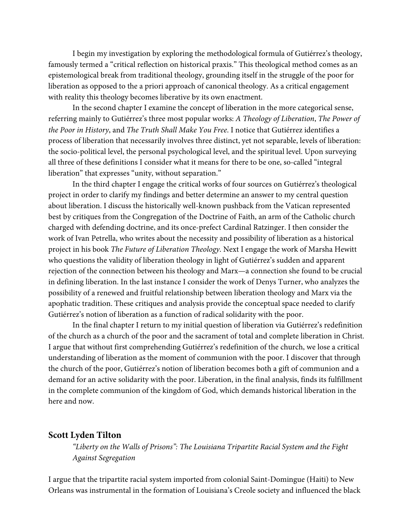I begin my investigation by exploring the methodological formula of Gutiérrez's theology, famously termed a "critical reflection on historical praxis." This theological method comes as an epistemological break from traditional theology, grounding itself in the struggle of the poor for liberation as opposed to the a priori approach of canonical theology. As a critical engagement with reality this theology becomes liberative by its own enactment.

In the second chapter I examine the concept of liberation in the more categorical sense, referring mainly to Gutiérrez's three most popular works: *A Theology of Liberation*, *The Power of the Poor in History*, and *The Truth Shall Make You Free*. I notice that Gutiérrez identifies a process of liberation that necessarily involves three distinct, yet not separable, levels of liberation: the socio-political level, the personal psychological level, and the spiritual level. Upon surveying all three of these definitions I consider what it means for there to be one, so-called "integral liberation" that expresses "unity, without separation."

In the third chapter I engage the critical works of four sources on Gutiérrez's theological project in order to clarify my findings and better determine an answer to my central question about liberation. I discuss the historically well-known pushback from the Vatican represented best by critiques from the Congregation of the Doctrine of Faith, an arm of the Catholic church charged with defending doctrine, and its once-prefect Cardinal Ratzinger. I then consider the work of Ivan Petrella, who writes about the necessity and possibility of liberation as a historical project in his book *The Future of Liberation Theology*. Next I engage the work of Marsha Hewitt who questions the validity of liberation theology in light of Gutiérrez's sudden and apparent rejection of the connection between his theology and Marx—a connection she found to be crucial in defining liberation. In the last instance I consider the work of Denys Turner, who analyzes the possibility of a renewed and fruitful relationship between liberation theology and Marx via the apophatic tradition. These critiques and analysis provide the conceptual space needed to clarify Gutiérrez's notion of liberation as a function of radical solidarity with the poor.

In the final chapter I return to my initial question of liberation via Gutiérrez's redefinition of the church as a church of the poor and the sacrament of total and complete liberation in Christ. I argue that without first comprehending Gutiérrez's redefinition of the church, we lose a critical understanding of liberation as the moment of communion with the poor. I discover that through the church of the poor, Gutiérrez's notion of liberation becomes both a gift of communion and a demand for an active solidarity with the poor. Liberation, in the final analysis, finds its fulfillment in the complete communion of the kingdom of God, which demands historical liberation in the here and now.

## **Scott Lyden Tilton**

*"Liberty on the Walls of Prisons": The Louisiana Tripartite Racial System and the Fight Against Segregation*

I argue that the tripartite racial system imported from colonial Saint-Domingue (Haiti) to New Orleans was instrumental in the formation of Louisiana's Creole society and influenced the black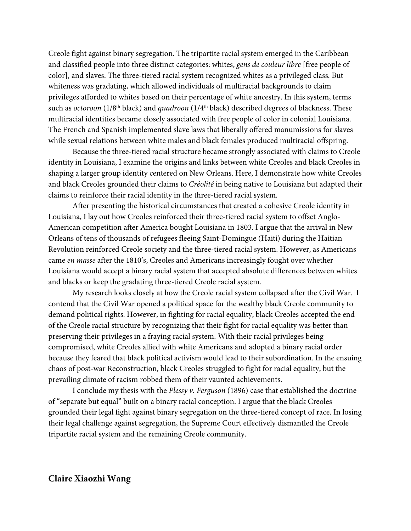Creole fight against binary segregation. The tripartite racial system emerged in the Caribbean and classified people into three distinct categories: whites, *gens de couleur libre* [free people of color], and slaves. The three-tiered racial system recognized whites as a privileged class. But whiteness was gradating, which allowed individuals of multiracial backgrounds to claim privileges afforded to whites based on their percentage of white ancestry. In this system, terms such as *octoroon* (1/8<sup>th</sup> black) and *quadroon* (1/4<sup>th</sup> black) described degrees of blackness. These multiracial identities became closely associated with free people of color in colonial Louisiana. The French and Spanish implemented slave laws that liberally offered manumissions for slaves while sexual relations between white males and black females produced multiracial offspring.

Because the three-tiered racial structure became strongly associated with claims to Creole identity in Louisiana, I examine the origins and links between white Creoles and black Creoles in shaping a larger group identity centered on New Orleans. Here, I demonstrate how white Creoles and black Creoles grounded their claims to *Créolité* in being native to Louisiana but adapted their claims to reinforce their racial identity in the three-tiered racial system.

After presenting the historical circumstances that created a cohesive Creole identity in Louisiana, I lay out how Creoles reinforced their three-tiered racial system to offset Anglo-American competition after America bought Louisiana in 1803. I argue that the arrival in New Orleans of tens of thousands of refugees fleeing Saint-Domingue (Haiti) during the Haitian Revolution reinforced Creole society and the three-tiered racial system. However, as Americans came *en masse* after the 1810's, Creoles and Americans increasingly fought over whether Louisiana would accept a binary racial system that accepted absolute differences between whites and blacks or keep the gradating three-tiered Creole racial system.

My research looks closely at how the Creole racial system collapsed after the Civil War. I contend that the Civil War opened a political space for the wealthy black Creole community to demand political rights. However, in fighting for racial equality, black Creoles accepted the end of the Creole racial structure by recognizing that their fight for racial equality was better than preserving their privileges in a fraying racial system. With their racial privileges being compromised, white Creoles allied with white Americans and adopted a binary racial order because they feared that black political activism would lead to their subordination. In the ensuing chaos of post-war Reconstruction, black Creoles struggled to fight for racial equality, but the prevailing climate of racism robbed them of their vaunted achievements.

I conclude my thesis with the *Plessy v. Ferguson* (1896) case that established the doctrine of "separate but equal" built on a binary racial conception. I argue that the black Creoles grounded their legal fight against binary segregation on the three-tiered concept of race. In losing their legal challenge against segregation, the Supreme Court effectively dismantled the Creole tripartite racial system and the remaining Creole community.

### **Claire Xiaozhi Wang**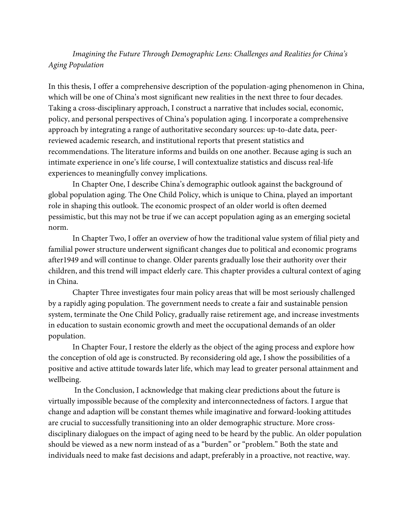# *Imagining the Future Through Demographic Lens: Challenges and Realities for China's Aging Population*

In this thesis, I offer a comprehensive description of the population-aging phenomenon in China, which will be one of China's most significant new realities in the next three to four decades. Taking a cross-disciplinary approach, I construct a narrative that includes social, economic, policy, and personal perspectives of China's population aging. I incorporate a comprehensive approach by integrating a range of authoritative secondary sources: up-to-date data, peerreviewed academic research, and institutional reports that present statistics and recommendations. The literature informs and builds on one another. Because aging is such an intimate experience in one's life course, I will contextualize statistics and discuss real-life experiences to meaningfully convey implications.

In Chapter One, I describe China's demographic outlook against the background of global population aging. The One Child Policy, which is unique to China, played an important role in shaping this outlook. The economic prospect of an older world is often deemed pessimistic, but this may not be true if we can accept population aging as an emerging societal norm.

In Chapter Two, I offer an overview of how the traditional value system of filial piety and familial power structure underwent significant changes due to political and economic programs after1949 and will continue to change. Older parents gradually lose their authority over their children, and this trend will impact elderly care. This chapter provides a cultural context of aging in China.

Chapter Three investigates four main policy areas that will be most seriously challenged by a rapidly aging population. The government needs to create a fair and sustainable pension system, terminate the One Child Policy, gradually raise retirement age, and increase investments in education to sustain economic growth and meet the occupational demands of an older population.

In Chapter Four, I restore the elderly as the object of the aging process and explore how the conception of old age is constructed. By reconsidering old age, I show the possibilities of a positive and active attitude towards later life, which may lead to greater personal attainment and wellbeing.

In the Conclusion, I acknowledge that making clear predictions about the future is virtually impossible because of the complexity and interconnectedness of factors. I argue that change and adaption will be constant themes while imaginative and forward-looking attitudes are crucial to successfully transitioning into an older demographic structure. More crossdisciplinary dialogues on the impact of aging need to be heard by the public. An older population should be viewed as a new norm instead of as a "burden" or "problem." Both the state and individuals need to make fast decisions and adapt, preferably in a proactive, not reactive, way.